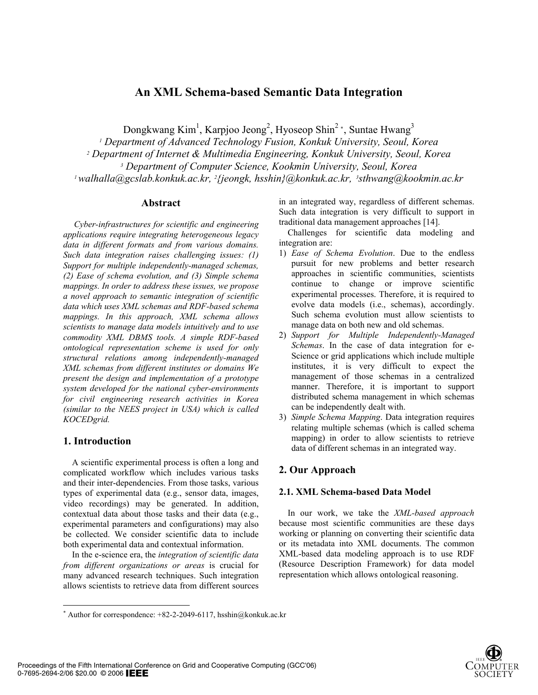# **An XML Schema-based Semantic Data Integration**

Dongkwang Kim<sup>1</sup>, Karpjoo Jeong<sup>2</sup>, Hyoseop Shin<sup>2</sup><sup>\*</sup>, Suntae Hwang<sup>3</sup>

<sup>1</sup> Department of Advanced Technology Fusion, Konkuk University, Seoul, Korea<br><sup>2</sup> Department of Internet & Multimedia Engineering, Konkuk University, Seoul, Korea<br><sup>3</sup> Department of Computer Science, Kookmin University, Se

#### **Abstract**

*Cyber-infrastructures for scientific and engineering applications require integrating heterogeneous legacy data in different formats and from various domains. Such data integration raises challenging issues: (1) Support for multiple independently-managed schemas, (2) Ease of schema evolution, and (3) Simple schema mappings. In order to address these issues, we propose a novel approach to semantic integration of scientific data which uses XML schemas and RDF-based schema mappings. In this approach, XML schema allows scientists to manage data models intuitively and to use commodity XML DBMS tools. A simple RDF-based ontological representation scheme is used for only structural relations among independently-managed XML schemas from different institutes or domains We present the design and implementation of a prototype system developed for the national cyber-environments for civil engineering research activities in Korea (similar to the NEES project in USA) which is called KOCEDgrid.* 

### **1. Introduction**

 $\overline{\phantom{a}}$ 

A scientific experimental process is often a long and complicated workflow which includes various tasks and their inter-dependencies. From those tasks, various types of experimental data (e.g., sensor data, images, video recordings) may be generated. In addition, contextual data about those tasks and their data (e.g., experimental parameters and configurations) may also be collected. We consider scientific data to include both experimental data and contextual information.

In the e-science era, the *integration of scientific data from different organizations or areas* is crucial for many advanced research techniques. Such integration allows scientists to retrieve data from different sources in an integrated way, regardless of different schemas. Such data integration is very difficult to support in traditional data management approaches [14].

Challenges for scientific data modeling and integration are:

- 1) *Ease of Schema Evolution*. Due to the endless pursuit for new problems and better research approaches in scientific communities, scientists continue to change or improve scientific experimental processes. Therefore, it is required to evolve data models (i.e., schemas), accordingly. Such schema evolution must allow scientists to manage data on both new and old schemas.
- 2) *Support for Multiple Independently-Managed Schemas*. In the case of data integration for e-Science or grid applications which include multiple institutes, it is very difficult to expect the management of those schemas in a centralized manner. Therefore, it is important to support distributed schema management in which schemas can be independently dealt with.
- 3) *Simple Schema Mapping*. Data integration requires relating multiple schemas (which is called schema mapping) in order to allow scientists to retrieve data of different schemas in an integrated way.

# **2. Our Approach**

### **2.1. XML Schema-based Data Model**

In our work, we take the *XML-based approach* because most scientific communities are these days working or planning on converting their scientific data or its metadata into XML documents. The common XML-based data modeling approach is to use RDF (Resource Description Framework) for data model representation which allows ontological reasoning.



<sup>\*</sup> Author for correspondence:  $+82-2-2049-6117$ , hsshin@konkuk.ac.kr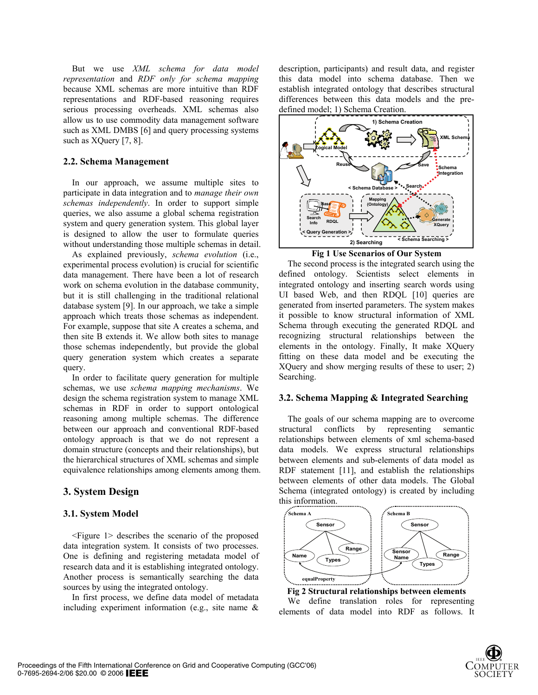But we use *XML schema for data model representation* and *RDF only for schema mapping* because XML schemas are more intuitive than RDF representations and RDF-based reasoning requires serious processing overheads. XML schemas also allow us to use commodity data management software such as XML DMBS [6] and query processing systems such as XQuery [7, 8].

#### **2.2. Schema Management**

In our approach, we assume multiple sites to participate in data integration and to *manage their own schemas independently*. In order to support simple queries, we also assume a global schema registration system and query generation system. This global layer is designed to allow the user to formulate queries without understanding those multiple schemas in detail.

As explained previously, *schema evolution* (i.e., experimental process evolution) is crucial for scientific data management. There have been a lot of research work on schema evolution in the database community, but it is still challenging in the traditional relational database system [9]. In our approach, we take a simple approach which treats those schemas as independent. For example, suppose that site A creates a schema, and then site B extends it. We allow both sites to manage those schemas independently, but provide the global query generation system which creates a separate query.

In order to facilitate query generation for multiple schemas, we use *schema mapping mechanisms*. We design the schema registration system to manage XML schemas in RDF in order to support ontological reasoning among multiple schemas. The difference between our approach and conventional RDF-based ontology approach is that we do not represent a domain structure (concepts and their relationships), but the hierarchical structures of XML schemas and simple equivalence relationships among elements among them.

# **3. System Design**

#### **3.1. System Model**

<Figure 1> describes the scenario of the proposed data integration system. It consists of two processes. One is defining and registering metadata model of research data and it is establishing integrated ontology. Another process is semantically searching the data sources by using the integrated ontology.

In first process, we define data model of metadata including experiment information (e.g., site name & description, participants) and result data, and register this data model into schema database. Then we establish integrated ontology that describes structural differences between this data models and the predefined model; 1) Schema Creation.





The second process is the integrated search using the defined ontology. Scientists select elements in integrated ontology and inserting search words using UI based Web, and then RDQL [10] queries are generated from inserted parameters. The system makes it possible to know structural information of XML Schema through executing the generated RDQL and recognizing structural relationships between the elements in the ontology. Finally, It make XQuery fitting on these data model and be executing the XQuery and show merging results of these to user; 2) Searching.

#### **3.2. Schema Mapping & Integrated Searching**

The goals of our schema mapping are to overcome structural conflicts by representing semantic relationships between elements of xml schema-based data models. We express structural relationships between elements and sub-elements of data model as RDF statement [11], and establish the relationships between elements of other data models. The Global Schema (integrated ontology) is created by including this information.



**Fig 2 Structural relationships between elements**  We define translation roles for representing elements of data model into RDF as follows. It

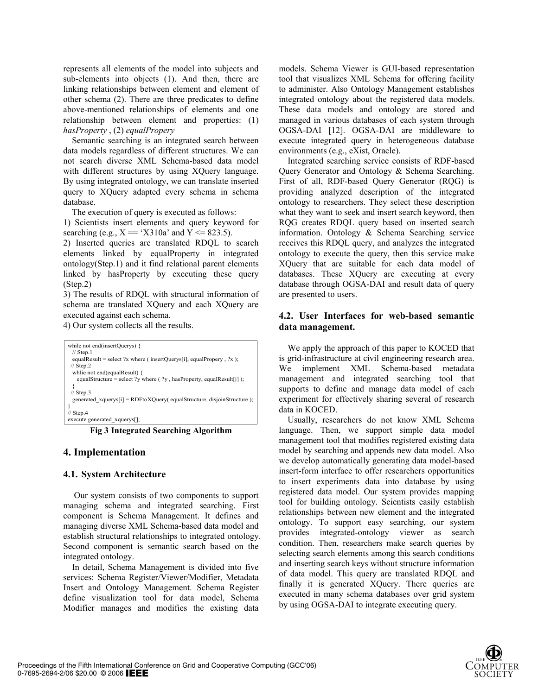represents all elements of the model into subjects and sub-elements into objects (1). And then, there are linking relationships between element and element of other schema (2). There are three predicates to define above-mentioned relationships of elements and one relationship between element and properties: (1) *hasProperty* , (2) *equalPropery*

Semantic searching is an integrated search between data models regardless of different structures. We can not search diverse XML Schema-based data model with different structures by using XQuery language. By using integrated ontology, we can translate inserted query to XQuery adapted every schema in schema database.

The execution of query is executed as follows:

1) Scientists insert elements and query keyword for searching (e.g.,  $X = Y310a'$  and  $Y \le 823.5$ ).

2) Inserted queries are translated RDQL to search elements linked by equalProperty in integrated ontology(Step.1) and it find relational parent elements linked by hasProperty by executing these query (Step.2)

3) The results of RDQL with structural information of schema are translated XQuery and each XQuery are executed against each schema.

4) Our system collects all the results.

| while not end (insert Querys) {                                           |
|---------------------------------------------------------------------------|
| $//$ Step.1                                                               |
| equalResult = select ?x where ( insertQuerys[i], equalPropery, ?x );      |
| $\frac{1}{2}$ Step. 2                                                     |
| while not end(equalResult) {                                              |
| equalStructure = select ?y where $($ ?y, hasProperty, equalResult[j] $);$ |
|                                                                           |
| $\frac{1}{3}$ Step.3                                                      |
| generated $xquerys[i] = RDFtoXQuery( equalStructure, disjointStructure);$ |
|                                                                           |
| $\frac{1}{3}$ Step.4                                                      |
| execute generated xquerys[];                                              |

**Fig 3 Integrated Searching Algorithm** 

### **4. Implementation**

#### **4.1. System Architecture**

Our system consists of two components to support managing schema and integrated searching. First component is Schema Management. It defines and managing diverse XML Schema-based data model and establish structural relationships to integrated ontology. Second component is semantic search based on the integrated ontology.

In detail, Schema Management is divided into five services: Schema Register/Viewer/Modifier, Metadata Insert and Ontology Management. Schema Register define visualization tool for data model, Schema Modifier manages and modifies the existing data models. Schema Viewer is GUI-based representation tool that visualizes XML Schema for offering facility to administer. Also Ontology Management establishes integrated ontology about the registered data models. These data models and ontology are stored and managed in various databases of each system through OGSA-DAI [12]. OGSA-DAI are middleware to execute integrated query in heterogeneous database environments (e.g., eXist, Oracle).

Integrated searching service consists of RDF-based Query Generator and Ontology & Schema Searching. First of all, RDF-based Query Generator (RQG) is providing analyzed description of the integrated ontology to researchers. They select these description what they want to seek and insert search keyword, then RQG creates RDQL query based on inserted search information. Ontology & Schema Searching service receives this RDQL query, and analyzes the integrated ontology to execute the query, then this service make XQuery that are suitable for each data model of databases. These XQuery are executing at every database through OGSA-DAI and result data of query are presented to users.

### **4.2. User Interfaces for web-based semantic data management.**

We apply the approach of this paper to KOCED that is grid-infrastructure at civil engineering research area. We implement XML Schema-based metadata management and integrated searching tool that supports to define and manage data model of each experiment for effectively sharing several of research data in KOCED.

Usually, researchers do not know XML Schema language. Then, we support simple data model management tool that modifies registered existing data model by searching and appends new data model. Also we develop automatically generating data model-based insert-form interface to offer researchers opportunities to insert experiments data into database by using registered data model. Our system provides mapping tool for building ontology. Scientists easily establish relationships between new element and the integrated ontology. To support easy searching, our system provides integrated-ontology viewer as search condition. Then, researchers make search queries by selecting search elements among this search conditions and inserting search keys without structure information of data model. This query are translated RDQL and finally it is generated XQuery. There queries are executed in many schema databases over grid system by using OGSA-DAI to integrate executing query.